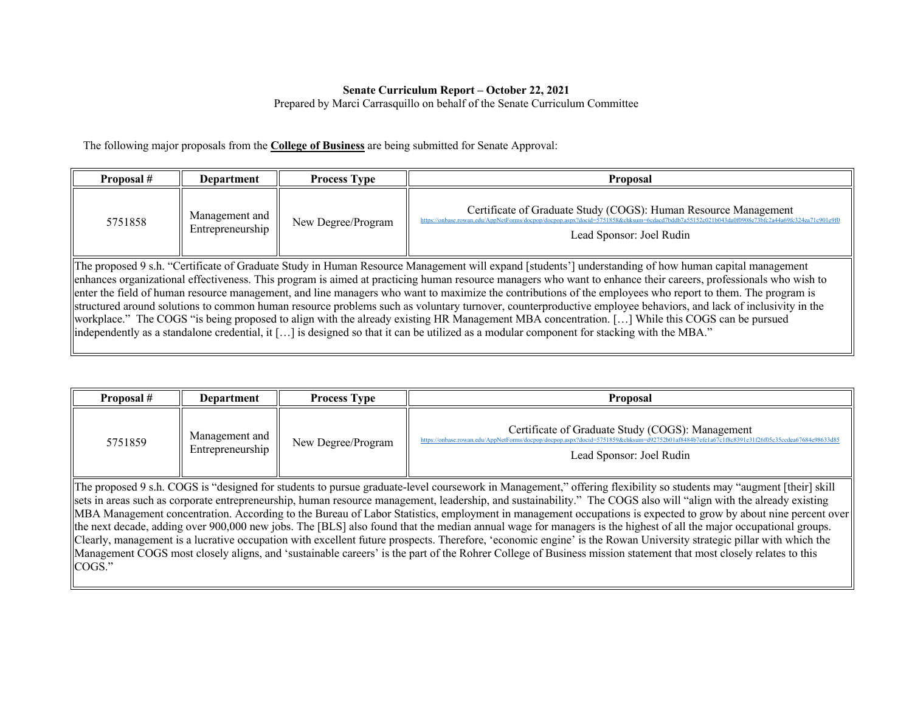## **Senate Curriculum Report – October 22, 2021**

Prepared by Marci Carrasquillo on behalf of the Senate Curriculum Committee

The following major proposals from the **College of Business** are being submitted for Senate Approval:

| Proposal #                                                                                                                                                                                                                                                                                                                                                                                                                                                                                                                                                                                                                                                                                                                                                                                                                                                                                                                                                      | <b>Process Type</b><br>Department |  | <b>Proposal</b>                                                                                                                                                              |  |
|-----------------------------------------------------------------------------------------------------------------------------------------------------------------------------------------------------------------------------------------------------------------------------------------------------------------------------------------------------------------------------------------------------------------------------------------------------------------------------------------------------------------------------------------------------------------------------------------------------------------------------------------------------------------------------------------------------------------------------------------------------------------------------------------------------------------------------------------------------------------------------------------------------------------------------------------------------------------|-----------------------------------|--|------------------------------------------------------------------------------------------------------------------------------------------------------------------------------|--|
| Management and<br>5751858<br>New Degree/Program<br>Entrepreneurship                                                                                                                                                                                                                                                                                                                                                                                                                                                                                                                                                                                                                                                                                                                                                                                                                                                                                             |                                   |  | Certificate of Graduate Study (COGS): Human Resource Management<br>https://onbase.rowan.edu/AppNetForms/docpop/docpop.aspx?docid=5751858&chksum=<br>Lead Sponsor: Joel Rudin |  |
| The proposed 9 s.h. "Certificate of Graduate Study in Human Resource Management will expand [students'] understanding of how human capital management<br>enhances organizational effectiveness. This program is aimed at practicing human resource managers who want to enhance their careers, professionals who wish to<br>enter the field of human resource management, and line managers who want to maximize the contributions of the employees who report to them. The program is<br>structured around solutions to common human resource problems such as voluntary turnover, counterproductive employee behaviors, and lack of inclusivity in the<br>workplace." The COGS "is being proposed to align with the already existing HR Management MBA concentration. [] While this COGS can be pursued<br>independently as a standalone credential, it [ $\dots$ ] is designed so that it can be utilized as a modular component for stacking with the MBA." |                                   |  |                                                                                                                                                                              |  |

| Proposal # | <b>Department</b>                  | <b>Process Type</b> | Proposal                                                                                                                                                                                                                      |
|------------|------------------------------------|---------------------|-------------------------------------------------------------------------------------------------------------------------------------------------------------------------------------------------------------------------------|
| 5751859    | Management and<br>Entrepreneurship | New Degree/Program  | Certificate of Graduate Study (COGS): Management<br>https://onbase.rowan.edu/AppNetForms/docpop/docpop.aspx?docid=5751859&chksum=d92752b01af8484b7efe1a67c1f8c8391e31f26f05c35ccdea67684e98633d85<br>Lead Sponsor: Joel Rudin |

The proposed 9 s.h. COGS is "designed for students to pursue graduate-level coursework in Management," offering flexibility so students may "augment [their] skill sets in areas such as corporate entrepreneurship, human resource management, leadership, and sustainability." The COGS also will "align with the already existing MBA Management concentration. According to the Bureau of Labor Statistics, employment in management occupations is expected to grow by about nine percent over the next decade, adding over 900,000 new jobs. The [BLS] also found that the median annual wage for managers is the highest of all the major occupational groups. Clearly, management is a lucrative occupation with excellent future prospects. Therefore, 'economic engine' is the Rowan University strategic pillar with which the Management COGS most closely aligns, and 'sustainable careers' is the part of the Rohrer College of Business mission statement that most closely relates to this COGS."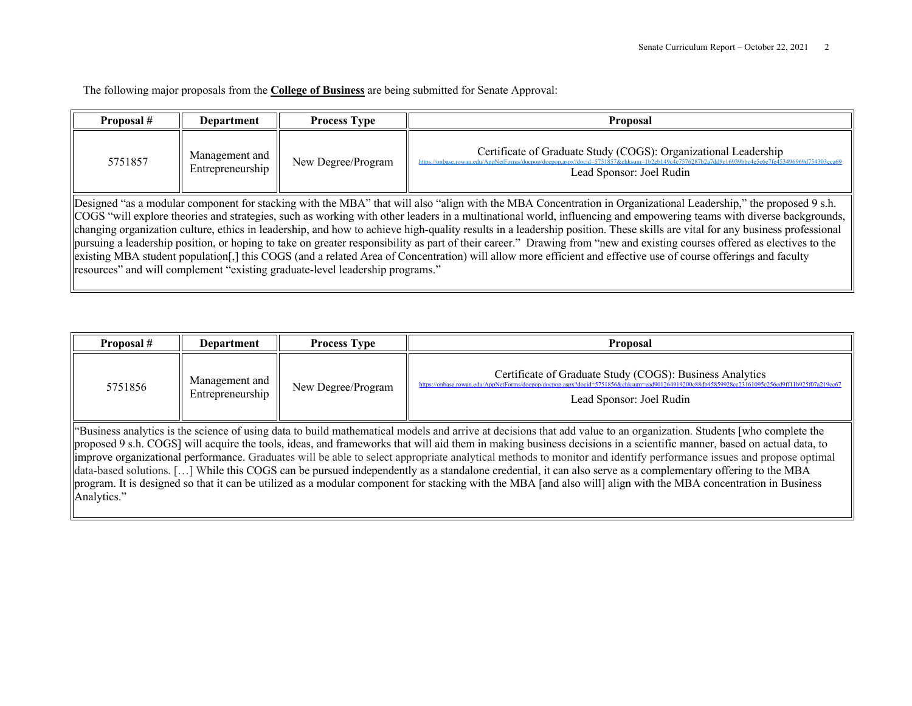The following major proposals from the **College of Business** are being submitted for Senate Approval:

Ш

| Proposal # | Department                                                                                                                                                                                                                                                                                                                                                                                                                                                                                                                                                                                                                                                                                                                                                                                                                                                                                                                                            | <b>Process Type</b> | <b>Proposal</b> |  |  |  |
|------------|-------------------------------------------------------------------------------------------------------------------------------------------------------------------------------------------------------------------------------------------------------------------------------------------------------------------------------------------------------------------------------------------------------------------------------------------------------------------------------------------------------------------------------------------------------------------------------------------------------------------------------------------------------------------------------------------------------------------------------------------------------------------------------------------------------------------------------------------------------------------------------------------------------------------------------------------------------|---------------------|-----------------|--|--|--|
| 5751857    | Certificate of Graduate Study (COGS): Organizational Leadership<br>Management and<br>New Degree/Program<br>Entrepreneurship<br>Lead Sponsor: Joel Rudin                                                                                                                                                                                                                                                                                                                                                                                                                                                                                                                                                                                                                                                                                                                                                                                               |                     |                 |  |  |  |
|            | Designed "as a modular component for stacking with the MBA" that will also "align with the MBA Concentration in Organizational Leadership," the proposed 9 s.h.<br>COGS "will explore theories and strategies, such as working with other leaders in a multinational world, influencing and empowering teams with diverse backgrounds,<br>changing organization culture, ethics in leadership, and how to achieve high-quality results in a leadership position. These skills are vital for any business professional<br>pursuing a leadership position, or hoping to take on greater responsibility as part of their career." Drawing from "new and existing courses offered as electives to the<br>existing MBA student population[,] this COGS (and a related Area of Concentration) will allow more efficient and effective use of course offerings and faculty<br> resources" and will complement "existing graduate-level leadership programs." |                     |                 |  |  |  |

| Proposal #  | Department                                                                                                                                                                                                                                                                                                                                                                                                                                                                                                                                                                                                                                                                                                                                                                                                                                           | <b>Process Type</b> | <b>Proposal</b> |  |  |
|-------------|------------------------------------------------------------------------------------------------------------------------------------------------------------------------------------------------------------------------------------------------------------------------------------------------------------------------------------------------------------------------------------------------------------------------------------------------------------------------------------------------------------------------------------------------------------------------------------------------------------------------------------------------------------------------------------------------------------------------------------------------------------------------------------------------------------------------------------------------------|---------------------|-----------------|--|--|
| 5751856     | Certificate of Graduate Study (COGS): Business Analytics<br>https://onbase.rowan.edu/AppNetForms/doepop/doepop.aspx?docid=5751856&chksum=ead901264919200c88db45859928cc23161095c2<br>Management and<br>928cc23161095c256cd9ff11b925f07a219cc67<br>New Degree/Program<br>Entrepreneurship<br>Lead Sponsor: Joel Rudin                                                                                                                                                                                                                                                                                                                                                                                                                                                                                                                                 |                     |                 |  |  |
| Analytics." | "Business analytics is the science of using data to build mathematical models and arrive at decisions that add value to an organization. Students [who complete the<br>proposed 9 s.h. COGS] will acquire the tools, ideas, and frameworks that will aid them in making business decisions in a scientific manner, based on actual data, to<br>limprove organizational performance. Graduates will be able to select appropriate analytical methods to monitor and identify performance issues and propose optimal<br>data-based solutions. [] While this COGS can be pursued independently as a standalone credential, it can also serve as a complementary offering to the MBA<br>program. It is designed so that it can be utilized as a modular component for stacking with the MBA [and also will] align with the MBA concentration in Business |                     |                 |  |  |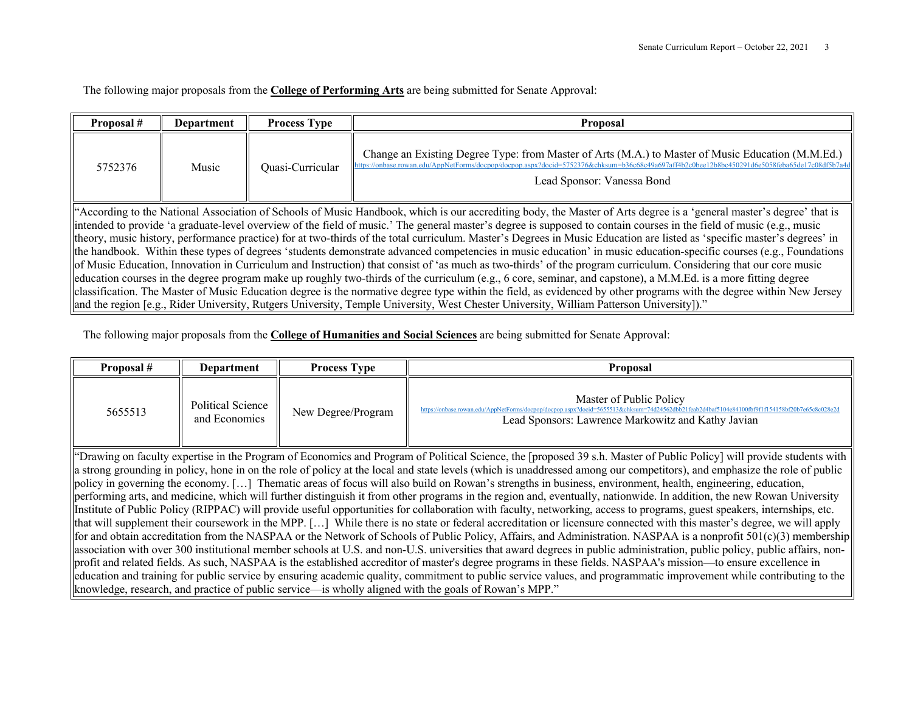The following major proposals from the **College of Performing Arts** are being submitted for Senate Approval:

| Proposal #                                                                                                                                                                                                                                                                | <b>Department</b>                                                                                                                                                        | <b>Process Type</b> | <b>Proposal</b> |  |  |  |
|---------------------------------------------------------------------------------------------------------------------------------------------------------------------------------------------------------------------------------------------------------------------------|--------------------------------------------------------------------------------------------------------------------------------------------------------------------------|---------------------|-----------------|--|--|--|
| Change an Existing Degree Type: from Master of Arts (M.A.) to Master of Music Education (M.M.Ed.)<br>https://onbase.rowan.edu/AppNetForms/docpop/docpop.aspx?docid=5752376&chksum=b36c68c49a697aff4<br>Music<br>5752376<br>Ouasi-Curricular<br>Lead Sponsor: Vanessa Bond |                                                                                                                                                                          |                     |                 |  |  |  |
| "According to the National Association of Schools of Music Handbook, which is our accrediting body, the Master of Arts degree is a 'general master's degree' that is                                                                                                      |                                                                                                                                                                          |                     |                 |  |  |  |
|                                                                                                                                                                                                                                                                           | intended to provide 'a graduate-level overview of the field of music.' The general master's degree is supposed to contain courses in the field of music (e.g., music     |                     |                 |  |  |  |
|                                                                                                                                                                                                                                                                           | theory, music history, performance practice) for at two-thirds of the total curriculum. Master's Degrees in Music Education are listed as 'specific master's degrees' in |                     |                 |  |  |  |
| the handbook. Within these types of degrees 'students demonstrate advanced competencies in music education' in music education-specific courses (e.g., Foundations                                                                                                        |                                                                                                                                                                          |                     |                 |  |  |  |
| of Music Education, Innovation in Curriculum and Instruction) that consist of 'as much as two-thirds' of the program curriculum. Considering that our core music                                                                                                          |                                                                                                                                                                          |                     |                 |  |  |  |
| education courses in the degree program make up roughly two-thirds of the curriculum (e.g., 6 core, seminar, and capstone), a M.M.Ed. is a more fitting degree                                                                                                            |                                                                                                                                                                          |                     |                 |  |  |  |
|                                                                                                                                                                                                                                                                           | classification. The Master of Music Education degree is the normative degree type within the field, as evidenced by other programs with the degree within New Jersey     |                     |                 |  |  |  |
|                                                                                                                                                                                                                                                                           | and the region [e.g., Rider University, Rutgers University, Temple University, West Chester University, William Patterson University])."                                 |                     |                 |  |  |  |

The following major proposals from the **College of Humanities and Social Sciences** are being submitted for Senate Approval:

| Proposal #                                                                                                                                                                                                                                                                                                                                                                                                                                                                                                                                                                                                                                                                                                                                                                                                                                                          | <b>Process Type</b><br>Department                                                                                                                                                                                                                                                      |  | <b>Proposal</b> |  |
|---------------------------------------------------------------------------------------------------------------------------------------------------------------------------------------------------------------------------------------------------------------------------------------------------------------------------------------------------------------------------------------------------------------------------------------------------------------------------------------------------------------------------------------------------------------------------------------------------------------------------------------------------------------------------------------------------------------------------------------------------------------------------------------------------------------------------------------------------------------------|----------------------------------------------------------------------------------------------------------------------------------------------------------------------------------------------------------------------------------------------------------------------------------------|--|-----------------|--|
| 5655513                                                                                                                                                                                                                                                                                                                                                                                                                                                                                                                                                                                                                                                                                                                                                                                                                                                             | Master of Public Policy<br>Political Science<br>5655513&chksum=74d24562dbb21feab2d4baf5104e84100fbf9f1f154158bf20b7e65c8c028e2d<br>https://onbase.rowan.edu/AppNetForms/docpon/docpon.asr<br>New Degree/Program<br>and Economics<br>Lead Sponsors: Lawrence Markowitz and Kathy Javian |  |                 |  |
| "Drawing on faculty expertise in the Program of Economics and Program of Political Science, the [proposed 39 s.h. Master of Public Policy] will provide students with<br>a strong grounding in policy, hone in on the role of policy at the local and state levels (which is unaddressed among our competitors), and emphasize the role of public<br>policy in governing the economy. [] Thematic areas of focus will also build on Rowan's strengths in business, environment, health, engineering, education,<br>performing arts, and medicine, which will further distinguish it from other programs in the region and, eventually, nationwide. In addition, the new Rowan University<br>Institute of Public Policy (RIPPAC) will provide useful opportunities for collaboration with faculty, networking, access to programs, guest speakers, internships, etc. |                                                                                                                                                                                                                                                                                        |  |                 |  |
| that will supplement their coursework in the MPP. [] While there is no state or federal accreditation or licensure connected with this master's degree, we will apply<br>for and obtain accreditation from the NASPAA or the Network of Schools of Public Policy, Affairs, and Administration. NASPAA is a nonprofit 501(c)(3) membership                                                                                                                                                                                                                                                                                                                                                                                                                                                                                                                           |                                                                                                                                                                                                                                                                                        |  |                 |  |
| association with over 300 institutional member schools at U.S. and non-U.S. universities that award degrees in public administration, public policy, public affairs, non-<br>profit and related fields. As such, NASPAA is the established accreditor of master's degree programs in these fields. NASPAA's mission—to ensure excellence in<br>education and training for public service by ensuring academic quality, commitment to public service values, and programmatic improvement while contributing to the                                                                                                                                                                                                                                                                                                                                                  |                                                                                                                                                                                                                                                                                        |  |                 |  |

knowledge, research, and practice of public service—is wholly aligned with the goals of Rowan's MPP."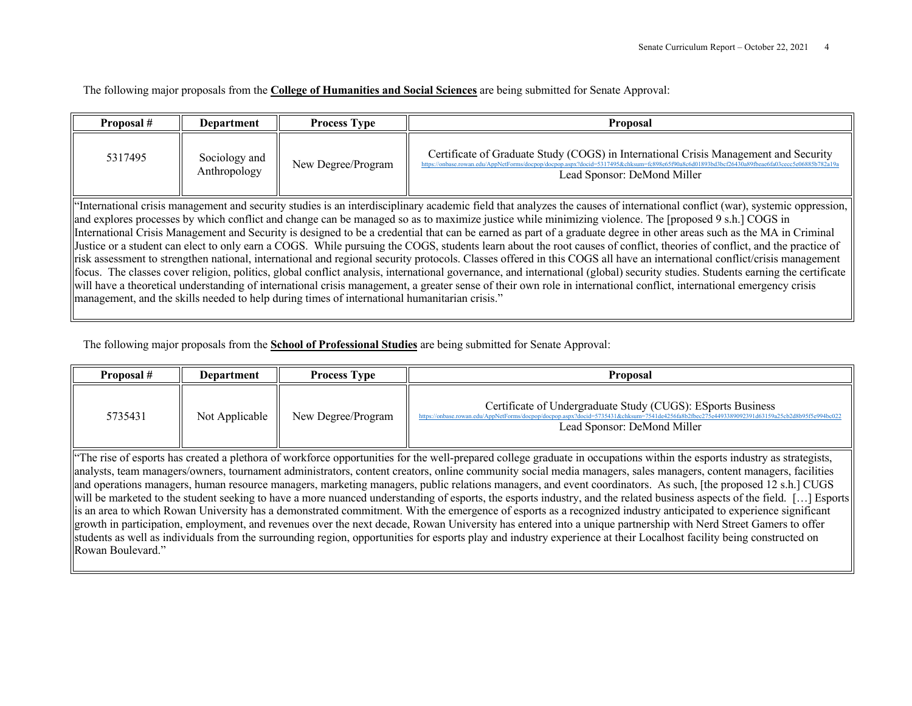The following major proposals from the **College of Humanities and Social Sciences** are being submitted for Senate Approval:

| Proposal #                                                                                                                                                                                                                                                                                                                            | <b>Department</b>                                                                                                                                                                                                                                                                                                                                                                                                                                                                                                                                                                                                                                                                                                                                                                                                                                                                                                                                                                                                                                                                                                                                                                                                                                                                                                                 | <b>Process Type</b> | Proposal |  |  |
|---------------------------------------------------------------------------------------------------------------------------------------------------------------------------------------------------------------------------------------------------------------------------------------------------------------------------------------|-----------------------------------------------------------------------------------------------------------------------------------------------------------------------------------------------------------------------------------------------------------------------------------------------------------------------------------------------------------------------------------------------------------------------------------------------------------------------------------------------------------------------------------------------------------------------------------------------------------------------------------------------------------------------------------------------------------------------------------------------------------------------------------------------------------------------------------------------------------------------------------------------------------------------------------------------------------------------------------------------------------------------------------------------------------------------------------------------------------------------------------------------------------------------------------------------------------------------------------------------------------------------------------------------------------------------------------|---------------------|----------|--|--|
| Certificate of Graduate Study (COGS) in International Crisis Management and Security<br>5317495<br>Sociology and<br>New Degree/Program<br>https://onbase.rowan.edu/AppNetForms/docpop/docpop.aspx?docid=5317495&chksum=fc898e65f90a8c6d01893bd3bcf26430a89fbeae6fa03cecc5e06885b782a19<br>Anthropology<br>Lead Sponsor: DeMond Miller |                                                                                                                                                                                                                                                                                                                                                                                                                                                                                                                                                                                                                                                                                                                                                                                                                                                                                                                                                                                                                                                                                                                                                                                                                                                                                                                                   |                     |          |  |  |
|                                                                                                                                                                                                                                                                                                                                       | "International crisis management and security studies is an interdisciplinary academic field that analyzes the causes of international conflict (war), systemic oppression,<br>and explores processes by which conflict and change can be managed so as to maximize justice while minimizing violence. The [proposed 9 s.h.] COGS in<br>International Crisis Management and Security is designed to be a credential that can be earned as part of a graduate degree in other areas such as the MA in Criminal<br>Justice or a student can elect to only earn a COGS. While pursuing the COGS, students learn about the root causes of conflict, theories of conflict, and the practice of<br>risk assessment to strengthen national, international and regional security protocols. Classes offered in this COGS all have an international conflict/crisis management<br>focus. The classes cover religion, politics, global conflict analysis, international governance, and international (global) security studies. Students earning the certificate<br>will have a theoretical understanding of international crisis management, a greater sense of their own role in international conflict, international emergency crisis<br>management, and the skills needed to help during times of international humanitarian crisis." |                     |          |  |  |

The following major proposals from the **School of Professional Studies** are being submitted for Senate Approval:

| Proposal #                                                                                                                                                                                                                                                                                                                                                                                                                                                                       | Department     | <b>Process Type</b> | <b>Proposal</b>                                                                                                                                                                                                                             |  |  |
|----------------------------------------------------------------------------------------------------------------------------------------------------------------------------------------------------------------------------------------------------------------------------------------------------------------------------------------------------------------------------------------------------------------------------------------------------------------------------------|----------------|---------------------|---------------------------------------------------------------------------------------------------------------------------------------------------------------------------------------------------------------------------------------------|--|--|
| 5735431                                                                                                                                                                                                                                                                                                                                                                                                                                                                          | Not Applicable | New Degree/Program  | Certificate of Undergraduate Study (CUGS): ESports Business<br>https://onbase.rowan.edu/AppNetForms/docpop/docpop.aspx?docid=5735431&chksum=7541de4256fa8b2fbec275e4493389092391d63159a25cb2d8b95f5e994bc022<br>Lead Sponsor: DeMond Miller |  |  |
| "The rise of esports has created a plethora of workforce opportunities for the well-prepared college graduate in occupations within the esports industry as strategists,                                                                                                                                                                                                                                                                                                         |                |                     |                                                                                                                                                                                                                                             |  |  |
| analysts, team managers/owners, tournament administrators, content creators, online community social media managers, sales managers, content managers, facilities<br>110.120<br>$\mathbf{1}$ and $\mathbf{1}$ and $\mathbf{1}$ and $\mathbf{1}$ and $\mathbf{1}$ and $\mathbf{1}$ and $\mathbf{1}$ and $\mathbf{1}$ and $\mathbf{1}$ and $\mathbf{1}$ and $\mathbf{1}$ and $\mathbf{1}$ and $\mathbf{1}$ and $\mathbf{1}$ and $\mathbf{1}$ and $\mathbf{1}$ and $\mathbf{1}$ and |                |                     |                                                                                                                                                                                                                                             |  |  |

and operations managers, human resource managers, marketing managers, public relations managers, and event coordinators. As such, [the proposed 12 s.h.] CUGS will be marketed to the student seeking to have a more nuanced understanding of esports, the esports industry, and the related business aspects of the field. […] Esports is an area to which Rowan University has a demonstrated commitment. With the emergence of esports as a recognized industry anticipated to experience significant growth in participation, employment, and revenues over the next decade, Rowan University has entered into a unique partnership with Nerd Street Gamers to offer students as well as individuals from the surrounding region, opportunities for esports play and industry experience at their Localhost facility being constructed on Rowan Boulevard."